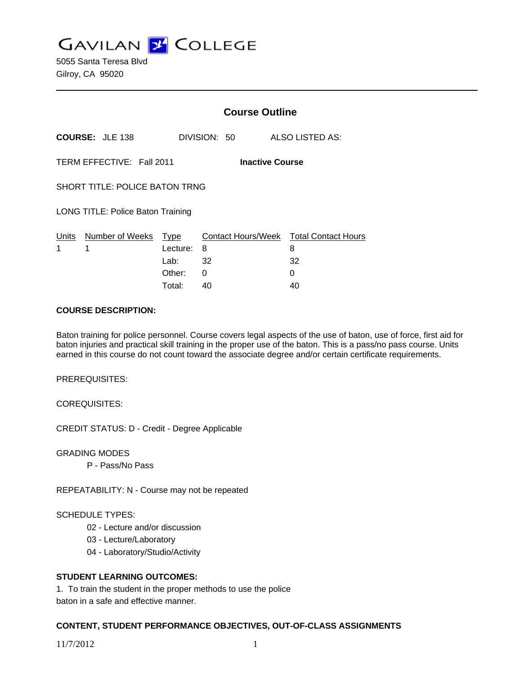**GAVILAN Z COLLEGE** 

5055 Santa Teresa Blvd Gilroy, CA 95020

|                                                     |                        | <b>Course Outline</b> |              |                                             |
|-----------------------------------------------------|------------------------|-----------------------|--------------|---------------------------------------------|
|                                                     | <b>COURSE: JLE 138</b> |                       | DIVISION: 50 | ALSO LISTED AS:                             |
| TERM EFFECTIVE: Fall 2011<br><b>Inactive Course</b> |                        |                       |              |                                             |
| <b>SHORT TITLE: POLICE BATON TRNG</b>               |                        |                       |              |                                             |
| LONG TITLE: Police Baton Training                   |                        |                       |              |                                             |
| Units<br>1                                          | Number of Weeks<br>1   | Type<br>Lecture:      | 8            | Contact Hours/Week Total Contact Hours<br>8 |
|                                                     |                        | Lab: $32$             |              | 32                                          |
|                                                     |                        | Other:                | 0            | 0                                           |
|                                                     |                        | Total:                | 40           | 40                                          |

#### **COURSE DESCRIPTION:**

Baton training for police personnel. Course covers legal aspects of the use of baton, use of force, first aid for baton injuries and practical skill training in the proper use of the baton. This is a pass/no pass course. Units earned in this course do not count toward the associate degree and/or certain certificate requirements.

PREREQUISITES:

COREQUISITES:

CREDIT STATUS: D - Credit - Degree Applicable

GRADING MODES

P - Pass/No Pass

REPEATABILITY: N - Course may not be repeated

#### SCHEDULE TYPES:

- 02 Lecture and/or discussion
- 03 Lecture/Laboratory
- 04 Laboratory/Studio/Activity

## **STUDENT LEARNING OUTCOMES:**

1. To train the student in the proper methods to use the police baton in a safe and effective manner.

## **CONTENT, STUDENT PERFORMANCE OBJECTIVES, OUT-OF-CLASS ASSIGNMENTS**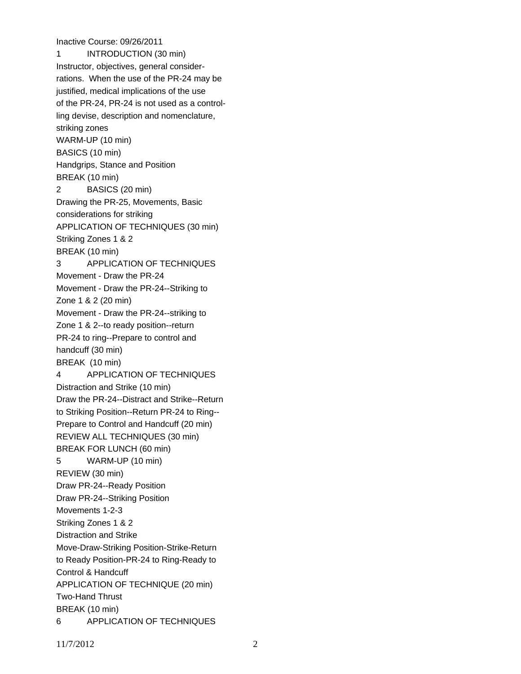Inactive Course: 09/26/2011 1 INTRODUCTION (30 min) Instructor, objectives, general considerrations. When the use of the PR-24 may be justified, medical implications of the use of the PR-24, PR-24 is not used as a controlling devise, description and nomenclature, striking zones WARM-UP (10 min) BASICS (10 min) Handgrips, Stance and Position BREAK (10 min) 2 BASICS (20 min) Drawing the PR-25, Movements, Basic considerations for striking APPLICATION OF TECHNIQUES (30 min) Striking Zones 1 & 2 BREAK (10 min) 3 APPLICATION OF TECHNIQUES Movement - Draw the PR-24 Movement - Draw the PR-24--Striking to Zone 1 & 2 (20 min) Movement - Draw the PR-24--striking to Zone 1 & 2--to ready position--return PR-24 to ring--Prepare to control and handcuff (30 min) BREAK (10 min) 4 APPLICATION OF TECHNIQUES Distraction and Strike (10 min) Draw the PR-24--Distract and Strike--Return to Striking Position--Return PR-24 to Ring-- Prepare to Control and Handcuff (20 min) REVIEW ALL TECHNIQUES (30 min) BREAK FOR LUNCH (60 min) 5 WARM-UP (10 min) REVIEW (30 min) Draw PR-24--Ready Position Draw PR-24--Striking Position Movements 1-2-3 Striking Zones 1 & 2 Distraction and Strike Move-Draw-Striking Position-Strike-Return to Ready Position-PR-24 to Ring-Ready to Control & Handcuff APPLICATION OF TECHNIQUE (20 min) Two-Hand Thrust BREAK (10 min) 6 APPLICATION OF TECHNIQUES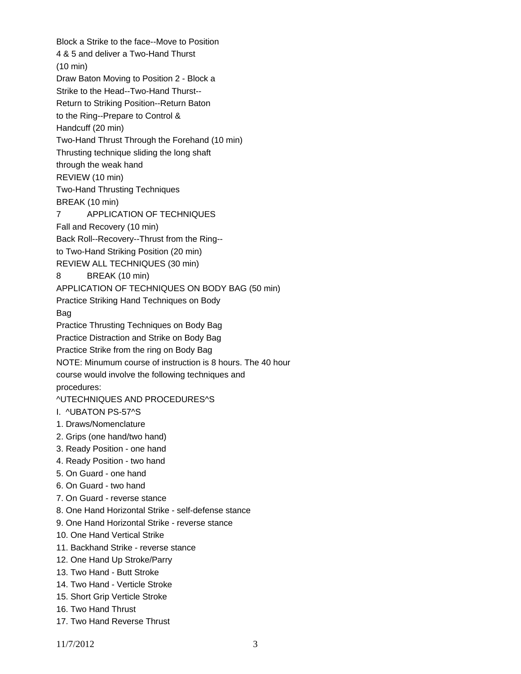Block a Strike to the face--Move to Position 4 & 5 and deliver a Two-Hand Thurst (10 min) Draw Baton Moving to Position 2 - Block a Strike to the Head--Two-Hand Thurst-- Return to Striking Position--Return Baton to the Ring--Prepare to Control & Handcuff (20 min) Two-Hand Thrust Through the Forehand (10 min) Thrusting technique sliding the long shaft through the weak hand REVIEW (10 min) Two-Hand Thrusting Techniques BREAK (10 min) 7 APPLICATION OF TECHNIQUES Fall and Recovery (10 min) Back Roll--Recovery--Thrust from the Ring- to Two-Hand Striking Position (20 min) REVIEW ALL TECHNIQUES (30 min) 8 BREAK (10 min) APPLICATION OF TECHNIQUES ON BODY BAG (50 min) Practice Striking Hand Techniques on Body Bag Practice Thrusting Techniques on Body Bag Practice Distraction and Strike on Body Bag Practice Strike from the ring on Body Bag NOTE: Minumum course of instruction is 8 hours. The 40 hour course would involve the following techniques and procedures: ^UTECHNIQUES AND PROCEDURES^S I. ^UBATON PS-57^S 1. Draws/Nomenclature 2. Grips (one hand/two hand) 3. Ready Position - one hand 4. Ready Position - two hand 5. On Guard - one hand 6. On Guard - two hand 7. On Guard - reverse stance 8. One Hand Horizontal Strike - self-defense stance 9. One Hand Horizontal Strike - reverse stance 10. One Hand Vertical Strike 11. Backhand Strike - reverse stance 12. One Hand Up Stroke/Parry 13. Two Hand - Butt Stroke 14. Two Hand - Verticle Stroke 15. Short Grip Verticle Stroke 16. Two Hand Thrust 17. Two Hand Reverse Thrust

11/7/2012 3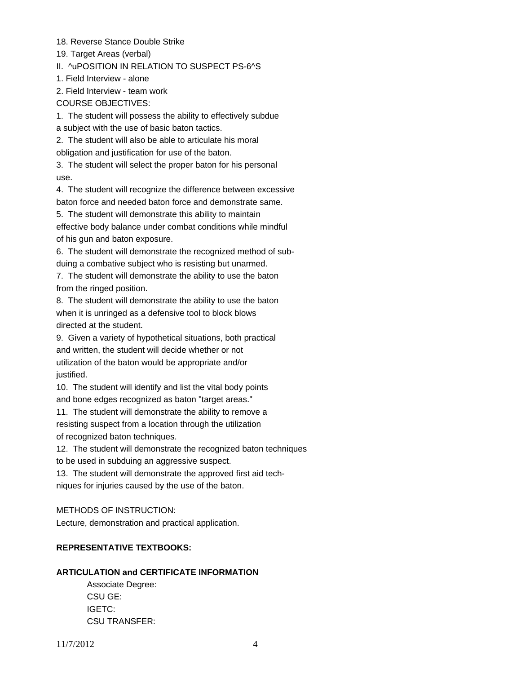18. Reverse Stance Double Strike

19. Target Areas (verbal)

II. ^uPOSITION IN RELATION TO SUSPECT PS-6^S

1. Field Interview - alone

2. Field Interview - team work

COURSE OBJECTIVES:

1. The student will possess the ability to effectively subdue

a subject with the use of basic baton tactics.

2. The student will also be able to articulate his moral

obligation and justification for use of the baton.

3. The student will select the proper baton for his personal use.

4. The student will recognize the difference between excessive baton force and needed baton force and demonstrate same.

5. The student will demonstrate this ability to maintain effective body balance under combat conditions while mindful of his gun and baton exposure.

6. The student will demonstrate the recognized method of subduing a combative subject who is resisting but unarmed.

7. The student will demonstrate the ability to use the baton from the ringed position.

8. The student will demonstrate the ability to use the baton when it is unringed as a defensive tool to block blows directed at the student.

9. Given a variety of hypothetical situations, both practical and written, the student will decide whether or not utilization of the baton would be appropriate and/or justified.

10. The student will identify and list the vital body points and bone edges recognized as baton "target areas."

11. The student will demonstrate the ability to remove a resisting suspect from a location through the utilization of recognized baton techniques.

12. The student will demonstrate the recognized baton techniques to be used in subduing an aggressive suspect.

13. The student will demonstrate the approved first aid techniques for injuries caused by the use of the baton.

## METHODS OF INSTRUCTION:

Lecture, demonstration and practical application.

# **REPRESENTATIVE TEXTBOOKS:**

# **ARTICULATION and CERTIFICATE INFORMATION**

 Associate Degree: CSU GE: IGETC: CSU TRANSFER: